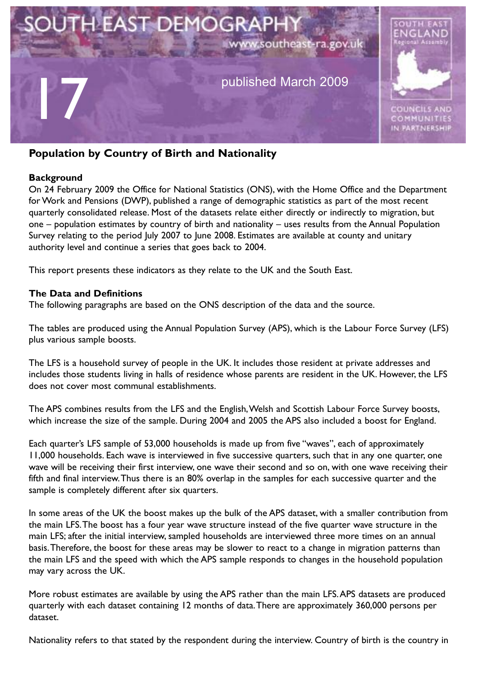

# **Population by Country of Birth and Nationality**

#### **Background**

On 24 February 2009 the Office for National Statistics (ONS), with the Home Office and the Department for Work and Pensions (DWP), published a range of demographic statistics as part of the most recent quarterly consolidated release. Most of the datasets relate either directly or indirectly to migration, but one – population estimates by country of birth and nationality – uses results from the Annual Population Survey relating to the period July 2007 to June 2008. Estimates are available at county and unitary authority level and continue a series that goes back to 2004.

This report presents these indicators as they relate to the UK and the South East.

#### **The Data and Definitions**

The following paragraphs are based on the ONS description of the data and the source.

The tables are produced using the Annual Population Survey (APS), which is the Labour Force Survey (LFS) plus various sample boosts.

The LFS is a household survey of people in the UK. It includes those resident at private addresses and includes those students living in halls of residence whose parents are resident in the UK. However, the LFS does not cover most communal establishments.

The APS combines results from the LFS and the English,Welsh and Scottish Labour Force Survey boosts, which increase the size of the sample. During 2004 and 2005 the APS also included a boost for England.

Each quarter's LFS sample of 53,000 households is made up from five "waves", each of approximately 11,000 households. Each wave is interviewed in five successive quarters, such that in any one quarter, one wave will be receiving their first interview, one wave their second and so on, with one wave receiving their fifth and final interview.Thus there is an 80% overlap in the samples for each successive quarter and the sample is completely different after six quarters.

In some areas of the UK the boost makes up the bulk of the APS dataset, with a smaller contribution from the main LFS.The boost has a four year wave structure instead of the five quarter wave structure in the main LFS; after the initial interview, sampled households are interviewed three more times on an annual basis.Therefore, the boost for these areas may be slower to react to a change in migration patterns than the main LFS and the speed with which the APS sample responds to changes in the household population may vary across the UK.

More robust estimates are available by using the APS rather than the main LFS.APS datasets are produced quarterly with each dataset containing 12 months of data.There are approximately 360,000 persons per dataset.

Nationality refers to that stated by the respondent during the interview. Country of birth is the country in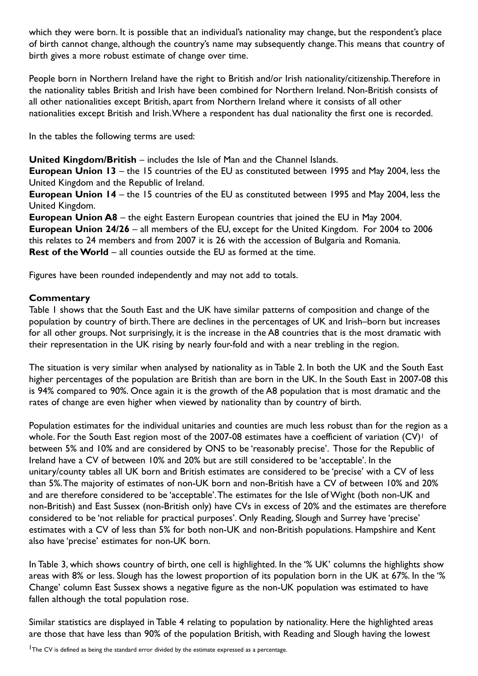which they were born. It is possible that an individual's nationality may change, but the respondent's place of birth cannot change, although the country's name may subsequently change.This means that country of birth gives a more robust estimate of change over time.

People born in Northern Ireland have the right to British and/or Irish nationality/citizenship.Therefore in the nationality tables British and Irish have been combined for Northern Ireland. Non-British consists of all other nationalities except British, apart from Northern Ireland where it consists of all other nationalities except British and Irish.Where a respondent has dual nationality the first one is recorded.

In the tables the following terms are used:

**United Kingdom/British** – includes the Isle of Man and the Channel Islands.

**European Union 13** – the 15 countries of the EU as constituted between 1995 and May 2004, less the United Kingdom and the Republic of Ireland.

**European Union 14** – the 15 countries of the EU as constituted between 1995 and May 2004, less the United Kingdom.

**European Union A8** – the eight Eastern European countries that joined the EU in May 2004. **European Union 24/26** – all members of the EU, except for the United Kingdom. For 2004 to 2006 this relates to 24 members and from 2007 it is 26 with the accession of Bulgaria and Romania. **Rest of theWorld** – all counties outside the EU as formed at the time.

Figures have been rounded independently and may not add to totals.

### **Commentary**

Table 1 shows that the South East and the UK have similar patterns of composition and change of the population by country of birth.There are declines in the percentages of UK and Irish–born but increases for all other groups. Not surprisingly, it is the increase in the A8 countries that is the most dramatic with their representation in the UK rising by nearly four-fold and with a near trebling in the region.

The situation is very similar when analysed by nationality as in Table 2. In both the UK and the South East higher percentages of the population are British than are born in the UK. In the South East in 2007-08 this is 94% compared to 90%. Once again it is the growth of the A8 population that is most dramatic and the rates of change are even higher when viewed by nationality than by country of birth.

Population estimates for the individual unitaries and counties are much less robust than for the region as a whole. For the South East region most of the 2007-08 estimates have a coefficient of variation (CV)<sup>1</sup> of between 5% and 10% and are considered by ONS to be 'reasonably precise'. Those for the Republic of Ireland have a CV of between 10% and 20% but are still considered to be 'acceptable'. In the unitary/county tables all UK born and British estimates are considered to be 'precise' with a CV of less than 5%.The majority of estimates of non-UK born and non-British have a CV of between 10% and 20% and are therefore considered to be 'acceptable'.The estimates for the Isle of Wight (both non-UK and non-British) and East Sussex (non-British only) have CVs in excess of 20% and the estimates are therefore considered to be 'not reliable for practical purposes'. Only Reading, Slough and Surrey have 'precise' estimates with a CV of less than 5% for both non-UK and non-British populations. Hampshire and Kent also have 'precise' estimates for non-UK born.

In Table 3, which shows country of birth, one cell is highlighted. In the '% UK' columns the highlights show areas with 8% or less. Slough has the lowest proportion of its population born in the UK at 67%. In the '% Change' column East Sussex shows a negative figure as the non-UK population was estimated to have fallen although the total population rose.

Similar statistics are displayed in Table 4 relating to population by nationality. Here the highlighted areas are those that have less than 90% of the population British, with Reading and Slough having the lowest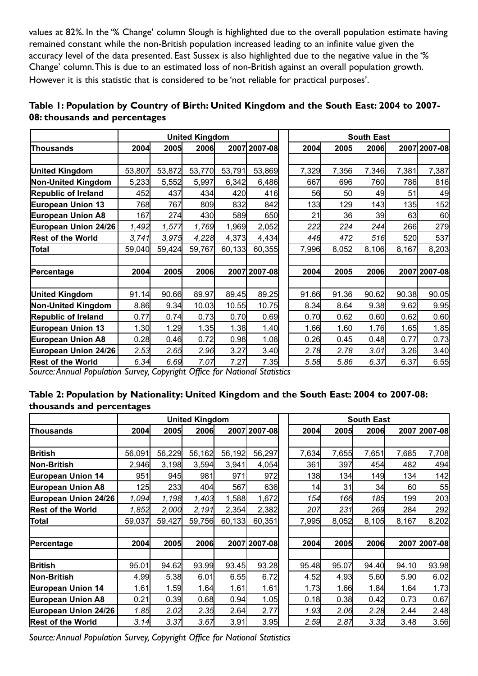values at 82%. In the '% Change' column Slough is highlighted due to the overall population estimate having remained constant while the non-British population increased leading to an infinite value given the accuracy level of the data presented. East Sussex is also highlighted due to the negative value in the '% Change' column.This is due to an estimated loss of non-British against an overall population growth. However it is this statistic that is considered to be 'not reliable for practical purposes'.

|                            | <b>United Kingdom</b> |        |        |        |              |  | <b>South East</b> |       |       |       |              |  |  |
|----------------------------|-----------------------|--------|--------|--------|--------------|--|-------------------|-------|-------|-------|--------------|--|--|
| Thousands                  | 2004                  | 2005   | 2006   |        | 2007 2007-08 |  | 2004              | 2005  | 2006  |       | 2007 2007-08 |  |  |
|                            |                       |        |        |        |              |  |                   |       |       |       |              |  |  |
| <b>United Kingdom</b>      | 53,807                | 53,872 | 53,770 | 53,791 | 53,869       |  | 7,329             | 7,356 | 7,346 | 7,381 | 7,387        |  |  |
| <b>Non-United Kingdom</b>  | 5,233                 | 5,552  | 5,997  | 6,342  | 6,486        |  | 667               | 696   | 760   | 786   | 816          |  |  |
| Republic of Ireland        | 452                   | 437    | 434    | 420    | 416          |  | 56                | 50    | 49    | 51    | 49           |  |  |
| European Union 13          | 768                   | 767    | 809    | 832    | 842          |  | 133               | 129   | 143   | 135   | 152          |  |  |
| <b>European Union A8</b>   | 167                   | 274    | 430    | 589    | 650          |  | 21                | 36    | 39    | 63    | 60           |  |  |
| European Union 24/26       | 1,492                 | 1,577  | 1,769  | 1,969  | 2,052        |  | 222               | 224   | 244   | 266   | 279          |  |  |
| <b>Rest of the World</b>   | 3,741                 | 3,975  | 4,228  | 4,373  | 4,434        |  | 446               | 472   | 516   | 520   | 537          |  |  |
| Total                      | 59,040                | 59,424 | 59,767 | 60,133 | 60,355       |  | 7,996             | 8,052 | 8,106 | 8,167 | 8,203        |  |  |
|                            |                       |        |        |        |              |  |                   |       |       |       |              |  |  |
| Percentage                 | 2004                  | 2005   | 2006   |        | 2007 2007-08 |  | 2004              | 2005  | 2006  |       | 2007 2007-08 |  |  |
|                            |                       |        |        |        |              |  |                   |       |       |       |              |  |  |
| <b>United Kingdom</b>      | 91.14                 | 90.66  | 89.97  | 89.45  | 89.25        |  | 91.66             | 91.36 | 90.62 | 90.38 | 90.05        |  |  |
| Non-United Kingdom         | 8.86                  | 9.34   | 10.03  | 10.55  | 10.75        |  | 8.34              | 8.64  | 9.38  | 9.62  | 9.95         |  |  |
| <b>Republic of Ireland</b> | 0.77                  | 0.74   | 0.73   | 0.70   | 0.69         |  | 0.70              | 0.62  | 0.60  | 0.62  | 0.60         |  |  |
| <b>European Union 13</b>   | 1.30                  | 1.29   | 1.35   | 1.38   | 1.40         |  | 1.66              | 1.60  | 1.76  | 1.65  | 1.85         |  |  |
| <b>European Union A8</b>   | 0.28                  | 0.46   | 0.72   | 0.98   | 1.08         |  | 0.26              | 0.45  | 0.48  | 0.77  | 0.73         |  |  |
| European Union 24/26       | 2.53                  | 2.65   | 2.96   | 3.27   | 3.40         |  | 2.78              | 2.78  | 3.01  | 3.26  | 3.40         |  |  |
| <b>Rest of the World</b>   | 6.34                  | 6.69   | 7.07   | 7.27   | 7.35         |  | 5.58              | 5.86  | 6.37  | 6.37  | 6.55         |  |  |

## **Table 1: Population by Country of Birth: United Kingdom and the South East: 2004 to 2007- 08: thousands and percentages**

*Source:Annual Population Survey, Copyright Office for National Statistics*

### **Table 2: Population by Nationality: United Kingdom and the South East: 2004 to 2007-08: thousands and percentages**

|                          | <b>United Kingdom</b> |        |        |        |              |  | <b>South East</b> |       |       |       |              |  |  |
|--------------------------|-----------------------|--------|--------|--------|--------------|--|-------------------|-------|-------|-------|--------------|--|--|
| Thousands                | 2004                  | 2005   | 2006   |        | 2007 2007-08 |  | 2004              | 2005  | 2006  |       | 2007 2007-08 |  |  |
|                          |                       |        |        |        |              |  |                   |       |       |       |              |  |  |
| <b>British</b>           | 56,091                | 56,229 | 56,162 | 56,192 | 56,297       |  | 7,634             | 7,655 | 7,651 | 7,685 | 7,708        |  |  |
| Non-British              | 2,946                 | 3,198  | 3,594  | 3,941  | 4,054        |  | 361               | 397   | 454   | 482   | 494          |  |  |
| <b>European Union 14</b> | 951                   | 945    | 981    | 971    | 972          |  | 138               | 134   | 149   | 134   | 142          |  |  |
| <b>European Union A8</b> | 125                   | 233    | 404    | 567    | 636          |  | 14                | 31    | 34    | 60    | 55           |  |  |
| European Union 24/26     | 1,094                 | 1,198  | 1,403  | 1,588  | 1,672        |  | 154               | 166   | 185   | 199   | 203          |  |  |
| <b>Rest of the World</b> | 1,852                 | 2,000  | 2,191  | 2,354  | 2,382        |  | 207               | 231   | 269   | 284   | 292          |  |  |
| Total                    | 59,037                | 59,427 | 59,756 | 60,133 | 60,351       |  | 7,995             | 8,052 | 8,105 | 8,167 | 8,202        |  |  |
|                          |                       |        |        |        |              |  |                   |       |       |       |              |  |  |
| Percentage               | 2004                  | 2005   | 2006   |        | 2007 2007-08 |  | 2004              | 2005  | 2006  |       | 2007 2007-08 |  |  |
|                          |                       |        |        |        |              |  |                   |       |       |       |              |  |  |
| <b>British</b>           | 95.01                 | 94.62  | 93.99  | 93.45  | 93.28        |  | 95.48             | 95.07 | 94.40 | 94.10 | 93.98        |  |  |
| Non-British              | 4.99                  | 5.38   | 6.01   | 6.55   | 6.72         |  | 4.52              | 4.93  | 5.60  | 5.90  | 6.02         |  |  |
| <b>European Union 14</b> | 1.61                  | 1.59   | 1.64   | 1.61   | 1.61         |  | 1.73              | 1.66  | 1.84  | 1.64  | 1.73         |  |  |
| <b>European Union A8</b> | 0.21                  | 0.39   | 0.68   | 0.94   | 1.05         |  | 0.18              | 0.38  | 0.42  | 0.73  | 0.67         |  |  |
| European Union 24/26     | 1.85                  | 2.02   | 2.35   | 2.64   | 2.77         |  | 1.93              | 2.06  | 2.28  | 2.44  | 2.48         |  |  |
| <b>Rest of the World</b> | 3.14                  | 3.37   | 3.67   | 3.91   | 3.95         |  | 2.59              | 2.87  | 3.32  | 3.48  | 3.56         |  |  |

*Source:Annual Population Survey, Copyright Office for National Statistics*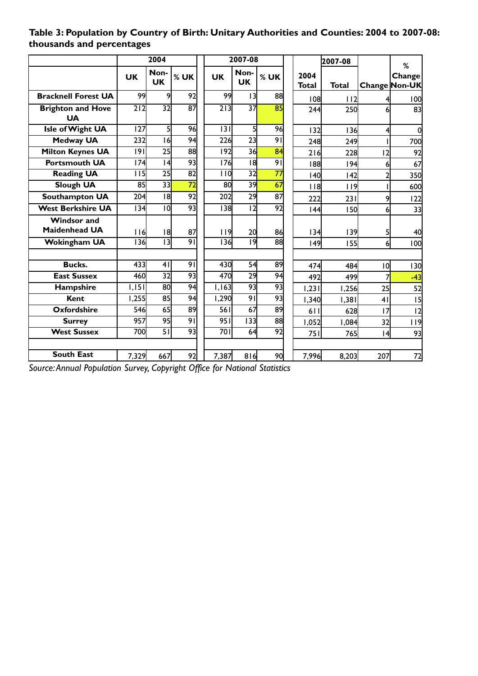|                                       | 2004             |                   |                 |                  | 2007-08           |                 |  |               | 2007-08      |                | %                       |
|---------------------------------------|------------------|-------------------|-----------------|------------------|-------------------|-----------------|--|---------------|--------------|----------------|-------------------------|
|                                       | <b>UK</b>        | Non-<br><b>UK</b> | $%$ UK          | <b>UK</b>        | Non-<br><b>UK</b> | $%$ UK          |  | 2004<br>Total | <b>Total</b> |                | Change<br>Change Non-UK |
| <b>Bracknell Forest UA</b>            | 99               | 9                 | 92              | 99               | 3                 | 88              |  | 108           | 112          |                | 100                     |
| <b>Brighton and Hove</b><br><b>UA</b> | $\overline{212}$ | $\overline{32}$   | $\overline{87}$ | $\overline{213}$ | $\overline{37}$   | 85              |  | 244           | 250          |                | 83                      |
| Isle of Wight UA                      | 127              | 5                 | 96              | 3                | 5                 | 96              |  | 132           | 136          | 4              | 0                       |
| <b>Medway UA</b>                      | 232              | 16                | 94              | 226              | $\overline{23}$   | $\overline{91}$ |  | 248           | 249          |                | 700                     |
| <b>Milton Keynes UA</b>               | 9                | $\overline{25}$   | 88              | $\overline{192}$ | 36                | 84              |  | 216           | 228          | 12             | 92                      |
| <b>Portsmouth UA</b>                  | 174              | 4                 | 93              | 176              | 8                 | $\overline{91}$ |  | 188           | 194          | 6              | 67                      |
| <b>Reading UA</b>                     | 115              | 25                | $\overline{82}$ | 110              | $\overline{32}$   | $\overline{77}$ |  | 140           | 142          | $\overline{2}$ | 350                     |
| <b>Slough UA</b>                      | 85               | 33                | $\overline{72}$ | 80               | 39                | $\overline{67}$ |  | 118           | 119          |                | 600                     |
| <b>Southampton UA</b>                 | 204              | 8                 | 92              | 202              | 29                | 87              |  | 222           | 231          | 9              | 122                     |
| <b>West Berkshire UA</b>              | 34               | 10                | 93              | 138              | 12                | $\overline{92}$ |  | 144           | 150          | $\overline{6}$ | 33                      |
| <b>Windsor and</b>                    |                  |                   |                 |                  |                   |                 |  |               |              |                |                         |
| <b>Maidenhead UA</b>                  | 116              | 18                | 87              | 119              | 2이                | 86              |  | 134           | 139          | 5              | 40                      |
| <b>Wokingham UA</b>                   | 136              | $\overline{13}$   | 91              | 136              | 9                 | $\overline{88}$ |  | 49            | 155          | $\epsilon$     | 100                     |
|                                       |                  |                   |                 |                  |                   |                 |  |               |              |                |                         |
| <b>Bucks.</b>                         | 433              | 41                | 91              | 430              | $\overline{54}$   | 89              |  | 474           | 484          | 0              | 130                     |
| <b>East Sussex</b>                    | 460              | $\overline{32}$   | 93              | 470              | 29                | 94              |  | 492           | 499          |                | $-43$                   |
| Hampshire                             | 1,151            | 80                | 94              | 1,163            | 93                | 93              |  | 1,231         | 1,256        | 25             | 52                      |
| Kent                                  | 1,255            | 85                | 94              | 1,290            | $\overline{91}$   | 93              |  | 1,340         | 1,381        | 4 <sub>1</sub> | 15                      |
| <b>Oxfordshire</b>                    | 546              | 65                | 89              | 561              | 67                | 89              |  | 611           | 628          | 17             | 12                      |
| <b>Surrey</b>                         | 957              | 95                | $\overline{91}$ | 951              | 33                | 88              |  | 1,052         | 1,084        | 32             | 119                     |
| <b>West Sussex</b>                    | 700              | $\overline{51}$   | 93              | 701              | 64                | 92              |  | 751           | 765          | 4              | 93                      |
|                                       |                  |                   |                 |                  |                   |                 |  |               |              |                |                         |
| <b>South East</b>                     | 7,329            | 667               | 92              | 7,387            | 816               | 90              |  | 7,996         | 8,203        | 207            | 72                      |

# **Table 3: Population by Country of Birth: Unitary Authorities and Counties: 2004 to 2007-08: thousands and percentages**

*Source:Annual Population Survey, Copyright Office for National Statistics*